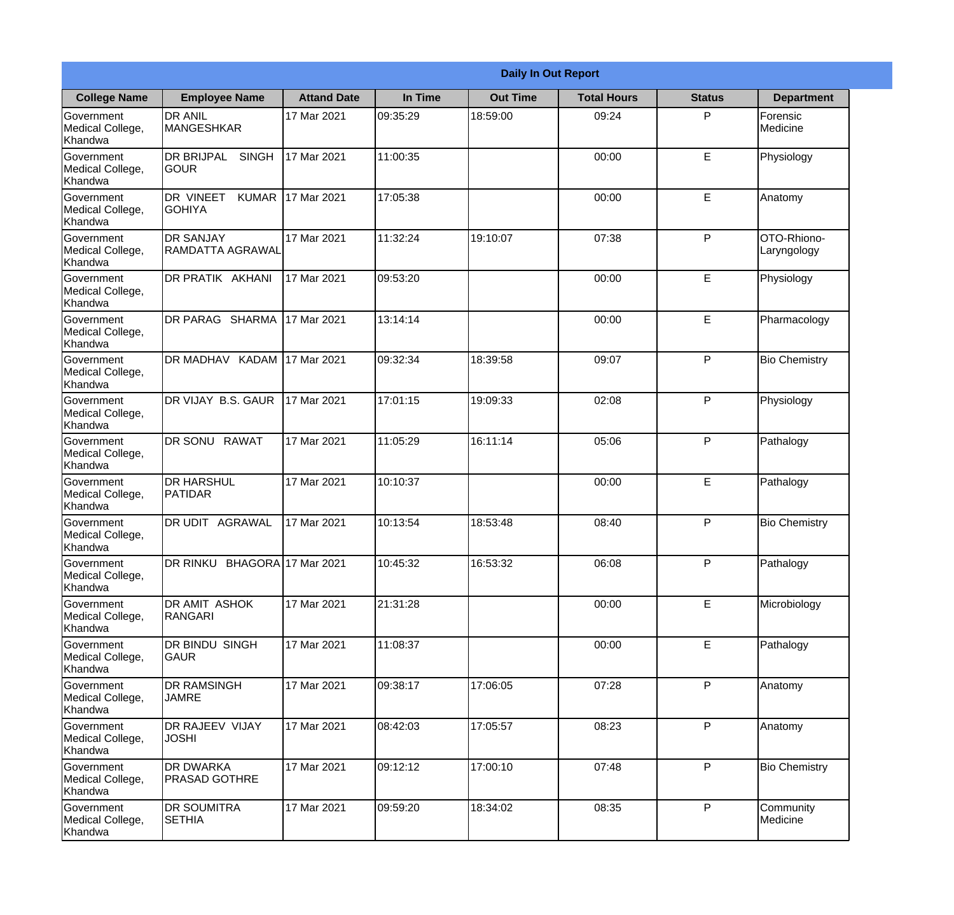|                                                  |                                              |                    |          | <b>Daily In Out Report</b> |                    |               |                            |
|--------------------------------------------------|----------------------------------------------|--------------------|----------|----------------------------|--------------------|---------------|----------------------------|
| <b>College Name</b>                              | <b>Employee Name</b>                         | <b>Attand Date</b> | In Time  | <b>Out Time</b>            | <b>Total Hours</b> | <b>Status</b> | <b>Department</b>          |
| Government<br>Medical College,<br>Khandwa        | <b>DR ANIL</b><br>MANGESHKAR                 | 17 Mar 2021        | 09:35:29 | 18:59:00                   | 09:24              | P             | Forensic<br>Medicine       |
| Government<br>Medical College,<br>Khandwa        | <b>DR BRIJPAL</b><br><b>SINGH</b><br> GOUR   | 17 Mar 2021        | 11:00:35 |                            | 00:00              | E             | Physiology                 |
| <b>Government</b><br>Medical College,<br>Khandwa | DR VINEET<br><b>KUMAR</b><br><b>I</b> GOHIYA | 17 Mar 2021        | 17:05:38 |                            | 00:00              | E             | Anatomy                    |
| Government<br>Medical College,<br>Khandwa        | <b>DR SANJAY</b><br><b>RAMDATTA AGRAWAL</b>  | 17 Mar 2021        | 11:32:24 | 19:10:07                   | 07:38              | P             | OTO-Rhiono-<br>Laryngology |
| Government<br>Medical College,<br>Khandwa        | <b>IDR PRATIK AKHANI</b>                     | 17 Mar 2021        | 09:53:20 |                            | 00:00              | E             | Physiology                 |
| Government<br>Medical College,<br>Khandwa        | <b>DR PARAG SHARMA</b>                       | 17 Mar 2021        | 13:14:14 |                            | 00:00              | E             | Pharmacology               |
| Government<br>Medical College,<br>Khandwa        | DR MADHAV KADAM 17 Mar 2021                  |                    | 09:32:34 | 18:39:58                   | 09:07              | P             | <b>Bio Chemistry</b>       |
| Government<br>Medical College,<br>Khandwa        | DR VIJAY B.S. GAUR                           | 17 Mar 2021        | 17:01:15 | 19:09:33                   | 02:08              | P             | Physiology                 |
| Government<br>Medical College,<br>Khandwa        | <b>DR SONU</b><br><b>RAWAT</b>               | 17 Mar 2021        | 11:05:29 | 16:11:14                   | 05:06              | P             | Pathalogy                  |
| Government<br>Medical College,<br>Khandwa        | <b>DR HARSHUL</b><br>PATIDAR                 | 17 Mar 2021        | 10:10:37 |                            | 00:00              | E             | Pathalogy                  |
| Government<br>Medical College,<br>Khandwa        | IDR UDIT<br><b>AGRAWAL</b>                   | 17 Mar 2021        | 10:13:54 | 18:53:48                   | 08:40              | $\mathsf{P}$  | <b>Bio Chemistry</b>       |
| Government<br>Medical College,<br>Khandwa        | DR RINKU BHAGORA 17 Mar 2021                 |                    | 10:45:32 | 16:53:32                   | 06:08              | P             | Pathalogy                  |
| Government<br>Medical College,<br>Khandwa        | <b>DR AMIT ASHOK</b><br>RANGARI              | 17 Mar 2021        | 21:31:28 |                            | 00:00              | E             | Microbiology               |
| Government<br>Medical College,<br>Khandwa        | DR BINDU SINGH<br><b>GAUR</b>                | 17 Mar 2021        | 11:08:37 |                            | 00:00              | E             | Pathalogy                  |
| Government<br>Medical College,<br>Khandwa        | <b>DR RAMSINGH</b><br><b>JAMRE</b>           | 17 Mar 2021        | 09:38:17 | 17:06:05                   | 07:28              | $\mathsf{P}$  | Anatomy                    |
| Government<br>Medical College,<br>Khandwa        | <b>DR RAJEEV VIJAY</b><br><b>JOSHI</b>       | 17 Mar 2021        | 08:42:03 | 17:05:57                   | 08:23              | P             | Anatomy                    |
| Government<br>Medical College,<br>Khandwa        | <b>DR DWARKA</b><br><b>PRASAD GOTHRE</b>     | 17 Mar 2021        | 09:12:12 | 17:00:10                   | 07:48              | P             | <b>Bio Chemistry</b>       |
| Government<br>Medical College,<br>Khandwa        | <b>DR SOUMITRA</b><br><b>SETHIA</b>          | 17 Mar 2021        | 09:59:20 | 18:34:02                   | 08:35              | P             | Community<br>Medicine      |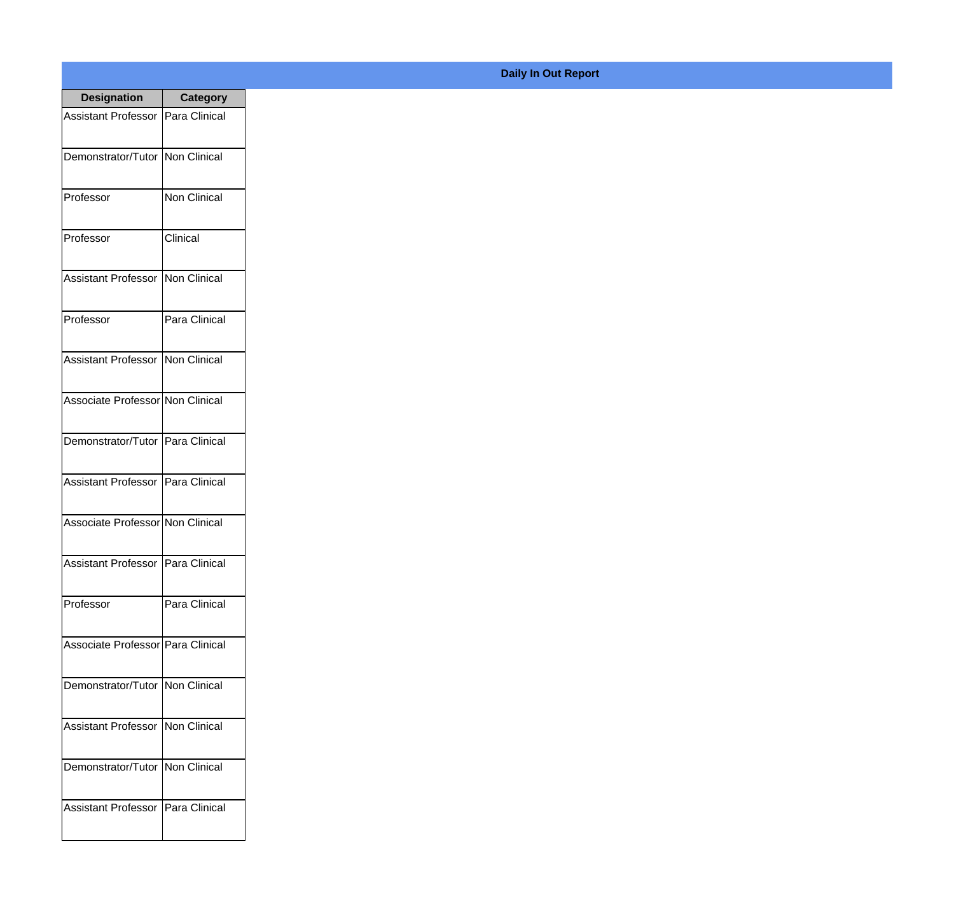| <b>Designation</b>                         | <b>Category</b> |
|--------------------------------------------|-----------------|
| Assistant Professor   Para Clinical        |                 |
| Demonstrator/Tutor   Non Clinical          |                 |
| Professor                                  | Non Clinical    |
| Professor                                  | Clinical        |
| <b>Assistant Professor</b>                 | Non Clinical    |
| Professor                                  | Para Clinical   |
| Assistant Professor                        | Non Clinical    |
| Associate Professor Non Clinical           |                 |
| Demonstrator/Tutor   Para Clinical         |                 |
| <b>Assistant Professor</b>                 | Para Clinical   |
| Associate Professor Non Clinical           |                 |
| <b>Assistant Professor   Para Clinical</b> |                 |
| Professor                                  | Para Clinical   |
| Associate Professor Para Clinical          |                 |
| Demonstrator/Tutor   Non Clinical          |                 |
| <b>Assistant Professor</b>                 | Non Clinical    |
| Demonstrator/Tutor   Non Clinical          |                 |
| Assistant Professor   Para Clinical        |                 |

## **Daily In Out Report**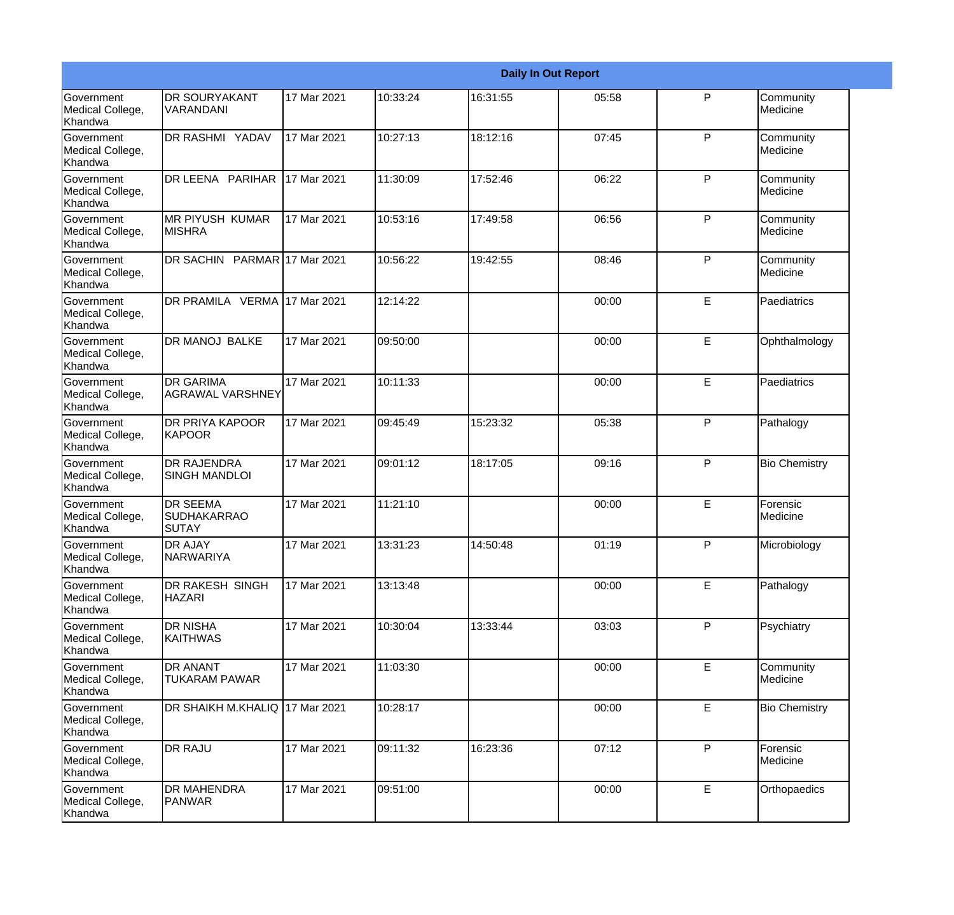|                                                         |                                                       |             |          |          | <b>Daily In Out Report</b> |              |                       |
|---------------------------------------------------------|-------------------------------------------------------|-------------|----------|----------|----------------------------|--------------|-----------------------|
| Government<br>Medical College,<br>Khandwa               | <b>DR SOURYAKANT</b><br><b>VARANDANI</b>              | 17 Mar 2021 | 10:33:24 | 16:31:55 | 05:58                      | P            | Community<br>Medicine |
| Government<br>Medical College,<br>Khandwa               | DR RASHMI YADAV                                       | 17 Mar 2021 | 10:27:13 | 18:12:16 | 07:45                      | P            | Community<br>Medicine |
| <b>Government</b><br>Medical College,<br>Khandwa        | DR LEENA PARIHAR                                      | 17 Mar 2021 | 11:30:09 | 17:52:46 | 06:22                      | P            | Community<br>Medicine |
| Government<br>Medical College,<br>Khandwa               | <b>IMR PIYUSH KUMAR</b><br><b>MISHRA</b>              | 17 Mar 2021 | 10:53:16 | 17:49:58 | 06:56                      | P            | Community<br>Medicine |
| Government<br>Medical College,<br>Khandwa               | DR SACHIN PARMAR 17 Mar 2021                          |             | 10:56:22 | 19:42:55 | 08:46                      | $\mathsf{P}$ | Community<br>Medicine |
| Government<br>Medical College,<br>Khandwa               | DR PRAMILA VERMA 17 Mar 2021                          |             | 12:14:22 |          | 00:00                      | E            | Paediatrics           |
| Government<br>Medical College,<br>Khandwa               | <b>DR MANOJ BALKE</b>                                 | 17 Mar 2021 | 09:50:00 |          | 00:00                      | E            | Ophthalmology         |
| Government<br>Medical College,<br>Khandwa               | <b>DR GARIMA</b><br><b>AGRAWAL VARSHNEY</b>           | 17 Mar 2021 | 10:11:33 |          | 00:00                      | E            | Paediatrics           |
| Government<br>Medical College,<br>Khandwa               | DR PRIYA KAPOOR<br>KAPOOR                             | 17 Mar 2021 | 09:45:49 | 15:23:32 | 05:38                      | $\mathsf{P}$ | Pathalogy             |
| <b>Government</b><br>Medical College,<br>Khandwa        | <b>DR RAJENDRA</b><br><b>SINGH MANDLOI</b>            | 17 Mar 2021 | 09:01:12 | 18:17:05 | 09:16                      | P            | <b>Bio Chemistry</b>  |
| <b>Government</b><br>Medical College,<br><b>Khandwa</b> | <b>DR SEEMA</b><br><b>SUDHAKARRAO</b><br><b>SUTAY</b> | 17 Mar 2021 | 11:21:10 |          | 00:00                      | E            | Forensic<br>Medicine  |
| Government<br>Medical College,<br>Khandwa               | <b>DR AJAY</b><br><b>NARWARIYA</b>                    | 17 Mar 2021 | 13:31:23 | 14:50:48 | 01:19                      | P            | Microbiology          |
| Government<br>Medical College,<br>Khandwa               | DR RAKESH SINGH<br><b>HAZARI</b>                      | 17 Mar 2021 | 13:13:48 |          | 00:00                      | E            | Pathalogy             |
| Government<br>Medical College,<br>Khandwa               | <b>DR NISHA</b><br>KAITHWAS                           | 17 Mar 2021 | 10:30:04 | 13:33:44 | 03:03                      | $\mathsf{P}$ | Psychiatry            |
| Government<br>Medical College,<br>Khandwa               | <b>DR ANANT</b><br><b>TUKARAM PAWAR</b>               | 17 Mar 2021 | 11:03:30 |          | 00:00                      | E            | Community<br>Medicine |
| Government<br>Medical College,<br>Khandwa               | DR SHAIKH M.KHALIQ 17 Mar 2021                        |             | 10:28:17 |          | 00:00                      | E            | <b>Bio Chemistry</b>  |
| Government<br>Medical College,<br>Khandwa               | <b>DR RAJU</b>                                        | 17 Mar 2021 | 09:11:32 | 16:23:36 | 07:12                      | $\mathsf{P}$ | Forensic<br>Medicine  |
| Government<br>Medical College,<br>Khandwa               | <b>DR MAHENDRA</b><br>PANWAR                          | 17 Mar 2021 | 09:51:00 |          | 00:00                      | E            | Orthopaedics          |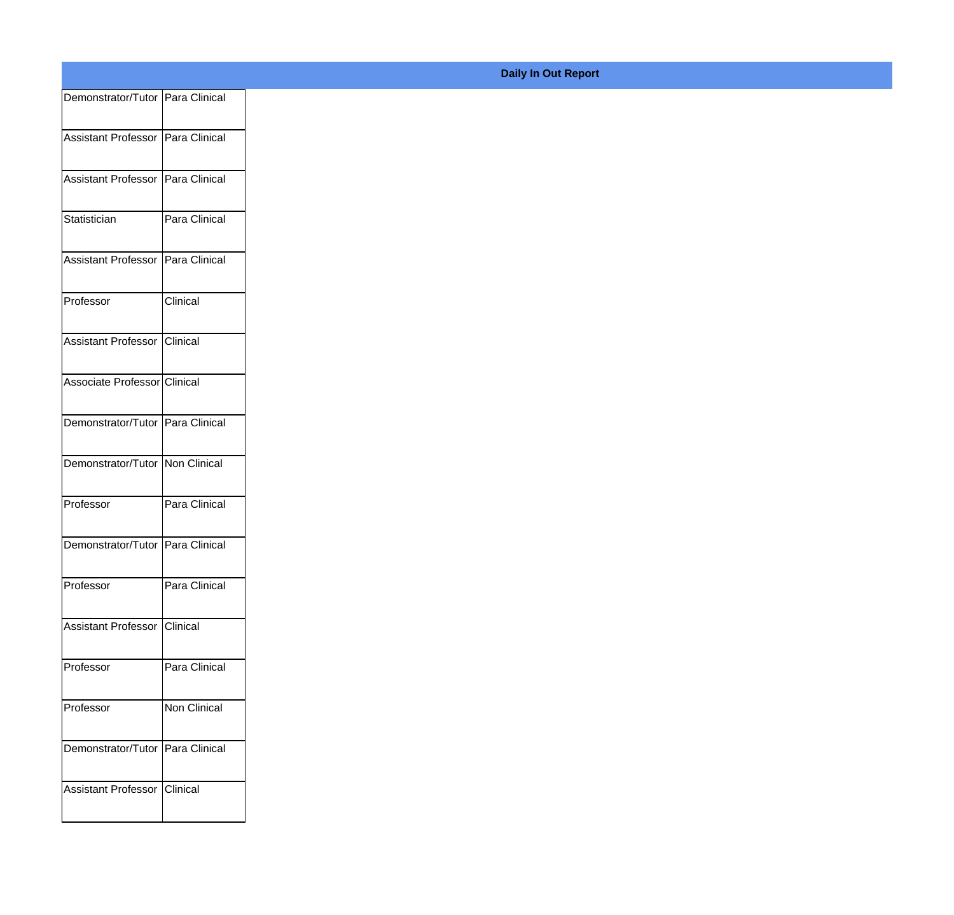| Demonstrator/Tutor Para Clinical<br>Assistant Professor Para Clinical<br>Assistant Professor Para Clinical<br>Para Clinical<br>Assistant Professor Para Clinical<br>Clinical<br>Assistant Professor Clinical<br>Associate Professor Clinical |
|----------------------------------------------------------------------------------------------------------------------------------------------------------------------------------------------------------------------------------------------|
|                                                                                                                                                                                                                                              |
|                                                                                                                                                                                                                                              |
|                                                                                                                                                                                                                                              |
|                                                                                                                                                                                                                                              |
|                                                                                                                                                                                                                                              |
|                                                                                                                                                                                                                                              |
|                                                                                                                                                                                                                                              |
|                                                                                                                                                                                                                                              |
|                                                                                                                                                                                                                                              |
|                                                                                                                                                                                                                                              |
|                                                                                                                                                                                                                                              |
| Demonstrator/Tutor Para Clinical                                                                                                                                                                                                             |
|                                                                                                                                                                                                                                              |
| Demonstrator/Tutor Non Clinical                                                                                                                                                                                                              |
| Para Clinical                                                                                                                                                                                                                                |
| Demonstrator/Tutor Para Clinical                                                                                                                                                                                                             |
|                                                                                                                                                                                                                                              |
| Para Clinical                                                                                                                                                                                                                                |
| Assistant Professor Clinical                                                                                                                                                                                                                 |
| Para Clinical                                                                                                                                                                                                                                |
|                                                                                                                                                                                                                                              |
| Non Clinical                                                                                                                                                                                                                                 |
| Demonstrator/Tutor Para Clinical                                                                                                                                                                                                             |
|                                                                                                                                                                                                                                              |
| Assistant Professor Clinical                                                                                                                                                                                                                 |
|                                                                                                                                                                                                                                              |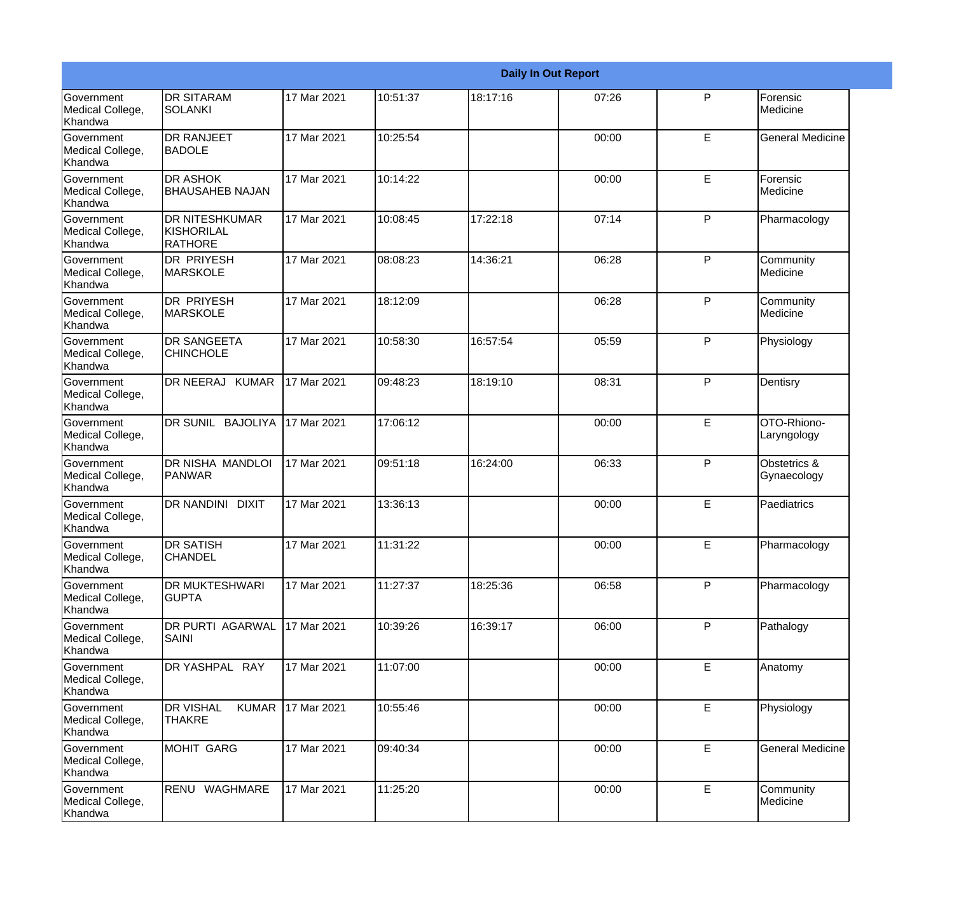|                                                  |                                                       |             |          |          | <b>Daily In Out Report</b> |              |                             |
|--------------------------------------------------|-------------------------------------------------------|-------------|----------|----------|----------------------------|--------------|-----------------------------|
| <b>Government</b><br>Medical College,<br>Khandwa | <b>DR SITARAM</b><br><b>SOLANKI</b>                   | 17 Mar 2021 | 10:51:37 | 18:17:16 | 07:26                      | $\mathsf{P}$ | Forensic<br>Medicine        |
| Government<br>Medical College,<br>Khandwa        | <b>DR RANJEET</b><br><b>BADOLE</b>                    | 17 Mar 2021 | 10:25:54 |          | 00:00                      | E            | <b>General Medicine</b>     |
| Government<br>Medical College,<br>Khandwa        | <b>DR ASHOK</b><br><b>BHAUSAHEB NAJAN</b>             | 17 Mar 2021 | 10:14:22 |          | 00:00                      | E            | Forensic<br>Medicine        |
| Government<br>Medical College,<br>Khandwa        | <b>DR NITESHKUMAR</b><br>KISHORILAL<br><b>RATHORE</b> | 17 Mar 2021 | 10:08:45 | 17:22:18 | 07:14                      | P            | Pharmacology                |
| <b>Government</b><br>Medical College,<br>Khandwa | <b>DR PRIYESH</b><br><b>MARSKOLE</b>                  | 17 Mar 2021 | 08:08:23 | 14:36:21 | 06:28                      | $\mathsf{P}$ | Community<br>Medicine       |
| Government<br>Medical College,<br>Khandwa        | <b>DR PRIYESH</b><br><b>MARSKOLE</b>                  | 17 Mar 2021 | 18:12:09 |          | 06:28                      | P            | Community<br>Medicine       |
| <b>Government</b><br>Medical College,<br>Khandwa | <b>DR SANGEETA</b><br><b>CHINCHOLE</b>                | 17 Mar 2021 | 10:58:30 | 16:57:54 | 05:59                      | P            | Physiology                  |
| Government<br>Medical College,<br>Khandwa        | DR NEERAJ KUMAR                                       | 17 Mar 2021 | 09:48:23 | 18:19:10 | 08:31                      | P            | Dentisry                    |
| <b>Government</b><br>Medical College,<br>Khandwa | DR SUNIL BAJOLIYA                                     | 17 Mar 2021 | 17:06:12 |          | 00:00                      | E            | OTO-Rhiono-<br>Laryngology  |
| <b>Government</b><br>Medical College,<br>Khandwa | DR NISHA MANDLOI<br>PANWAR                            | 17 Mar 2021 | 09:51:18 | 16:24:00 | 06:33                      | P            | Obstetrics &<br>Gynaecology |
| <b>Government</b><br>Medical College,<br>Khandwa | DR NANDINI DIXIT                                      | 17 Mar 2021 | 13:36:13 |          | 00:00                      | E            | Paediatrics                 |
| Government<br>Medical College,<br>Khandwa        | <b>DR SATISH</b><br><b>CHANDEL</b>                    | 17 Mar 2021 | 11:31:22 |          | 00:00                      | E            | Pharmacology                |
| Government<br>Medical College,<br>Khandwa        | <b>DR MUKTESHWARI</b><br><b>GUPTA</b>                 | 17 Mar 2021 | 11:27:37 | 18:25:36 | 06:58                      | $\mathsf{P}$ | Pharmacology                |
| Government<br>Medical College,<br>Khandwa        | DR PURTI AGARWAL<br>SAINI                             | 17 Mar 2021 | 10:39:26 | 16:39:17 | 06:00                      | P            | Pathalogy                   |
| Government<br>Medical College,<br>Khandwa        | DR YASHPAL RAY                                        | 17 Mar 2021 | 11:07:00 |          | 00:00                      | E            | Anatomy                     |
| Government<br>Medical College,<br>Khandwa        | <b>DR VISHAL</b><br><b>KUMAR</b><br><b>THAKRE</b>     | 17 Mar 2021 | 10:55:46 |          | 00:00                      | E            | Physiology                  |
| Government<br>Medical College,<br>Khandwa        | <b>MOHIT GARG</b>                                     | 17 Mar 2021 | 09:40:34 |          | 00:00                      | E            | <b>General Medicine</b>     |
| Government<br>Medical College,<br>Khandwa        | RENU WAGHMARE                                         | 17 Mar 2021 | 11:25:20 |          | 00:00                      | E            | Community<br>Medicine       |